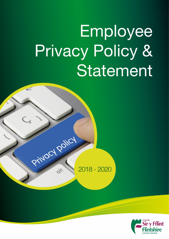# Employee **Privacy Policy &** Statement



21

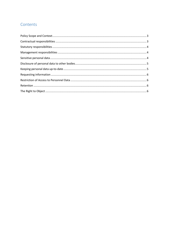# Contents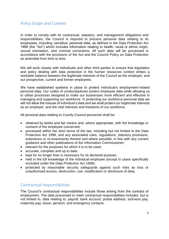# <span id="page-2-0"></span>Policy Scope and Context

In order to comply with its contractual, statutory, and management obligations and responsibilities, the Council is required to process personal data relating to its employees, including 'sensitive' personal data, as defined in the Data Protection Act 1998 (the "Act") which includes information relating to health, racial or ethnic origin, sexual orientation, and criminal convictions. All such data will be processed in accordance with the provisions of the Act and the Council Policy on Data Protection as amended from time to time.

We will work closely with individuals and other third parties to ensure that legislation and policy dealing with data protection in the human resources context strikes a workable balance between the legitimate interests of the Council as the employer, and our prospective, current and former employees.

We have established systems in place to protect individual's employment-related personal data. Our codes of conduct/policies protect employee data while allowing us to utilise processes designed to make our businesses more efficient and effective in managing and supporting our workforce. In protecting our workforce personal data we will not allow the misuse of individual's data and we shall protect our legitimate interests as an employer, and the vital interests and freedoms of our workforce.

All personal data relating to County Council personnel shall be:

- obtained by lawful and fair means and, where appropriate, with the knowledge or consent of the employee concerned;
- processed within the strict terms of the law, including but not limited to the Data Protection Act 1998, and any associated rules, regulations, statutory provisions, extensions or re-enactments thereof and where possible, in line with any current guidance and other publications of the Information Commissioner;
- $\bullet$  relevant for the purposes for which it is to be used;
- accurate, complete and up to date;
- kept for no longer than is necessary for its declared purpose;
- held in the full knowledge of the individual employee (except in cases specifically excluded under the Data Protection Act 1998);
- protected by reasonable security safeguards against such risks as loss or unauthorised access, destruction, use, modification or disclosure of data;

## <span id="page-2-1"></span>Contractual responsibilities

The Council's contractual responsibilities include those arising from the contract of employment. The data processed to meet contractual responsibilities includes, but is not limited to, data relating to: payroll; bank account; postal address; sickness pay; maternity pay; leave; pension; and emergency contacts.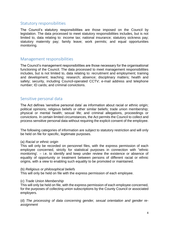## <span id="page-3-0"></span>Statutory responsibilities

The Council's statutory responsibilities are those imposed on the Council by legislation. The data processed to meet statutory responsibilities includes, but is not limited to, data relating to: income tax; national insurance; statutory sickness pay; statutory maternity pay; family leave; work permits; and equal opportunities monitoring.

### <span id="page-3-1"></span>Management responsibilities

The Council's management responsibilities are those necessary for the organisational functioning of the Council. The data processed to meet management responsibilities includes, but is not limited to, data relating to: recruitment and employment; training and development; teaching; research; absence; disciplinary matters; health and safety; security, including Council-operated CCTV; e-mail address and telephone number; ID cards; and criminal convictions.

## <span id="page-3-2"></span>Sensitive personal data

The Act defines 'sensitive personal data' as information about racial or ethnic origin; political opinions; religious beliefs or other similar beliefs; trade union membership; physical or mental health; sexual life; and criminal allegations, proceedings or convictions. In certain limited circumstances, the Act permits the Council to collect and process sensitive personal data without requiring the explicit consent of the employee.

The following categories of information are subject to statutory restriction and will only be held on file for specific, legitimate purposes.

#### (a) *Racial or ethnic origin*

This will only be recorded on personnel files, with the express permission of each employee concerned, strictly for statistical purposes in connection with "ethnic monitoring'. – i.e. to identify and keep under review the existence or absence of equality of opportunity or treatment between persons of different racial or ethnic origins, with a view to enabling such equality to be promoted or maintained.

#### (b) *Religious or philosophical beliefs*

This will only be held on file with the express permission of each employee.

#### (c) *Trade Union Membership*

This will only be held on file, with the express permission of each employee concerned, for the purposes of collecting union subscriptions by the County Council or associated employers.

(d) *The processing of data concerning gender, sexual orientation and gender reassignment*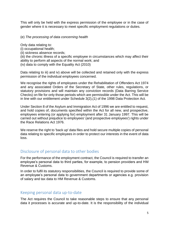This will only be held with the express permission of the employee or in the case of gender where it is necessary to meet specific employment regulations or duties.

#### (e) *The processing of data concerning health*

Only data relating to:

- (i) occupational health;
- (ii) sickness absence records;

(iii) the chronic illness of a specific employee in circumstances which may affect their ability to perform all aspects of the normal work; and (iv) data to comply with the Equality Act (2010)

Data relating to iii) and iv) above will be collected and retained only with the express permission of the individual employees concerned.

We recognise the rights of employees under the Rehabilitation of Offenders Act 1974 and any associated Orders of the Secretary of State, other rules, regulations, or statutory provisions and will maintain any conviction records (Data Barring Service Checks) on file for only those periods which are permissible under the Act. This will be in line with our entitlement under Schedule 3(2),(1) of the 1998 Data Protection Act.

Under Section 8 of the Asylum and Immigration Act of 1996 we are entitled to request, and hold copies of, documents specified within the Act for all new, and prospective, employees entering (or applying for) employment after 31 January 1997. This will be carried out without prejudice to employees' (and prospective employees') rights under the Race Relations Act 1976.

We reserve the right to 'back up' data files and hold secure multiple copies of personal data relating to specific employees in order to protect our interests in the event of data loss.

# <span id="page-4-0"></span>Disclosure of personal data to other bodies

For the performance of the employment contract, the Council is required to transfer an employee's personal data to third parties, for example, to pension providers and HM Revenue & Customs.

In order to fulfil its statutory responsibilities, the Council is required to provide some of an employee's personal data to government departments or agencies e.g. provision of salary and tax data to HM Revenue & Customs.

## <span id="page-4-1"></span>Keeping personal data up-to-date

The Act requires the Council to take reasonable steps to ensure that any personal data it processes is accurate and up-to-date. It is the responsibility of the individual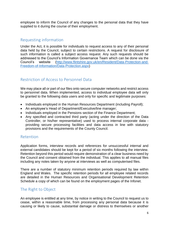employee to inform the Council of any changes to the personal data that they have supplied to it during the course of their employment.

# <span id="page-5-0"></span>Requesting information

Under the Act, it is possible for individuals to request access to any of their personal data held by the Council, subject to certain restrictions. A request for disclosure of such information is called a subject access request. Any such requests should be addressed to the Council's Information Governance Team which can be done via the Council's website [\(http://www.flintshire.gov.uk/en/Resident/Data-Protection-and-](http://www.flintshire.gov.uk/en/Resident/Data-Protection-and-Freedom-of-Information/Data-Protection.aspx)[Freedom-of-Information/Data-Protection.aspx\)](http://www.flintshire.gov.uk/en/Resident/Data-Protection-and-Freedom-of-Information/Data-Protection.aspx)

# <span id="page-5-1"></span>Restriction of Access to Personnel Data

We may place all or part of our files onto secure computer networks and restrict access to personnel data. When implemented, access to individual employee data will only be granted to the following data users and only for specific and legitimate purposes:

- Individuals employed in the Human Resources Department (including Payroll);
- An employee's Head of Department/Executive/line manager;
- Individuals employed in the Pensions section of the Finance Department;
- Any specified and contracted third party (acting under the direction of the Data Controller, or his/her representative) used to process internal corporate data providing secure processing facilities and data access in line with statutory provisions and the requirements of the County Council.

# <span id="page-5-2"></span>Retention

Application forms, interview records and references for unsuccessful internal and external candidates should be kept for a period of six months following the interview. Retention beyond this period would require demonstration of a clear business need by the Council and consent obtained from the individual. This applies to all manual files including any notes taken by anyone at interviews as well as computerised files.

There are a number of statutory minimum retention periods required by law within England and Wales. The specific retention periods for all employee related records are detailed in the Human Resources and Organisational Development Retention Schedule a copy of which can be found on the employment pages of the Infonet.

# <span id="page-5-3"></span>The Right to Object

An employee is entitled at any time, by notice in writing to the Council to request us to cease, within a reasonable time, from processing any personal data because it is causing or likely to cause, substantial damage or distress to themselves or another